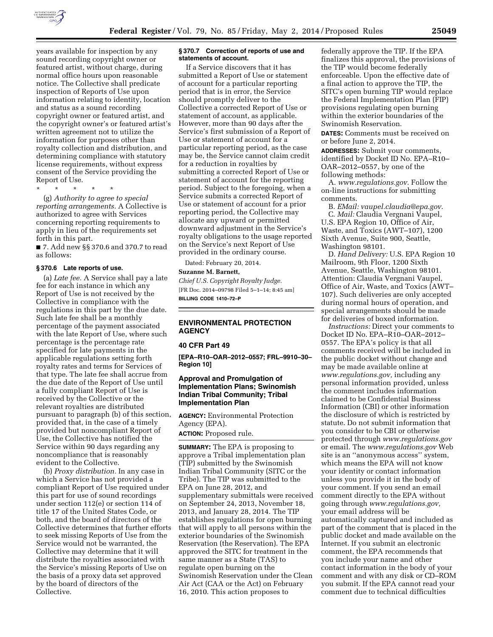

years available for inspection by any sound recording copyright owner or featured artist, without charge, during normal office hours upon reasonable notice. The Collective shall predicate inspection of Reports of Use upon information relating to identity, location and status as a sound recording copyright owner or featured artist, and the copyright owner's or featured artist's written agreement not to utilize the information for purposes other than royalty collection and distribution, and determining compliance with statutory license requirements, without express consent of the Service providing the Report of Use.

\* \* \* \* \*

(g) *Authority to agree to special reporting arrangements.* A Collective is authorized to agree with Services concerning reporting requirements to apply in lieu of the requirements set forth in this part.

■ 7. Add new §§ 370.6 and 370.7 to read as follows:

#### **§ 370.6 Late reports of use.**

(a) *Late fee.* A Service shall pay a late fee for each instance in which any Report of Use is not received by the Collective in compliance with the regulations in this part by the due date. Such late fee shall be a monthly percentage of the payment associated with the late Report of Use, where such percentage is the percentage rate specified for late payments in the applicable regulations setting forth royalty rates and terms for Services of that type. The late fee shall accrue from the due date of the Report of Use until a fully compliant Report of Use is received by the Collective or the relevant royalties are distributed pursuant to paragraph (b) of this section, provided that, in the case of a timely provided but noncompliant Report of Use, the Collective has notified the Service within 90 days regarding any noncompliance that is reasonably evident to the Collective.

(b) *Proxy distribution.* In any case in which a Service has not provided a compliant Report of Use required under this part for use of sound recordings under section 112(e) or section 114 of title 17 of the United States Code, or both, and the board of directors of the Collective determines that further efforts to seek missing Reports of Use from the Service would not be warranted, the Collective may determine that it will distribute the royalties associated with the Service's missing Reports of Use on the basis of a proxy data set approved by the board of directors of the Collective.

## **§ 370.7 Correction of reports of use and statements of account.**

If a Service discovers that it has submitted a Report of Use or statement of account for a particular reporting period that is in error, the Service should promptly deliver to the Collective a corrected Report of Use or statement of account, as applicable. However, more than 90 days after the Service's first submission of a Report of Use or statement of account for a particular reporting period, as the case may be, the Service cannot claim credit for a reduction in royalties by submitting a corrected Report of Use or statement of account for the reporting period. Subject to the foregoing, when a Service submits a corrected Report of Use or statement of account for a prior reporting period, the Collective may allocate any upward or permitted downward adjustment in the Service's royalty obligations to the usage reported on the Service's next Report of Use provided in the ordinary course.

Dated: February 20, 2014.

## **Suzanne M. Barnett,**

*Chief U.S. Copyright Royalty Judge.*  [FR Doc. 2014–09798 Filed 5–1–14; 8:45 am] **BILLING CODE 1410–72–P** 

## **ENVIRONMENTAL PROTECTION AGENCY**

#### **40 CFR Part 49**

**[EPA–R10–OAR–2012–0557; FRL–9910–30– Region 10]** 

## **Approval and Promulgation of Implementation Plans; Swinomish Indian Tribal Community; Tribal Implementation Plan**

**AGENCY:** Environmental Protection Agency (EPA).

**ACTION:** Proposed rule.

**SUMMARY:** The EPA is proposing to approve a Tribal implementation plan (TIP) submitted by the Swinomish Indian Tribal Community (SITC or the Tribe). The TIP was submitted to the EPA on June 28, 2012, and supplementary submittals were received on September 24, 2013, November 18, 2013, and January 28, 2014. The TIP establishes regulations for open burning that will apply to all persons within the exterior boundaries of the Swinomish Reservation (the Reservation). The EPA approved the SITC for treatment in the same manner as a State (TAS) to regulate open burning on the Swinomish Reservation under the Clean Air Act (CAA or the Act) on February 16, 2010. This action proposes to

federally approve the TIP. If the EPA finalizes this approval, the provisions of the TIP would become federally enforceable. Upon the effective date of a final action to approve the TIP, the SITC's open burning TIP would replace the Federal Implementation Plan (FIP) provisions regulating open burning within the exterior boundaries of the Swinomish Reservation.

**DATES:** Comments must be received on or before June 2, 2014.

**ADDRESSES:** Submit your comments, identified by Docket ID No. EPA–R10– OAR–2012–0557, by one of the following methods:

A. *[www.regulations.gov.](http://www.regulations.gov)* Follow the on-line instructions for submitting comments.

B. *EMail: [vaupel.claudia@epa.gov](mailto:vaupel.claudia@epa.gov)*. C. *Mail:* Claudia Vergnani Vaupel, U.S. EPA Region 10, Office of Air, Waste, and Toxics (AWT–107), 1200 Sixth Avenue, Suite 900, Seattle, Washington 98101.

D. *Hand Delivery:* U.S. EPA Region 10 Mailroom, 9th Floor, 1200 Sixth Avenue, Seattle, Washington 98101. Attention: Claudia Vergnani Vaupel, Office of Air, Waste, and Toxics (AWT– 107). Such deliveries are only accepted during normal hours of operation, and special arrangements should be made for deliveries of boxed information.

*Instructions:* Direct your comments to Docket ID No. EPA–R10–OAR–2012– 0557. The EPA's policy is that all comments received will be included in the public docket without change and may be made available online at *[www.regulations.gov,](http://www.regulations.gov)* including any personal information provided, unless the comment includes information claimed to be Confidential Business Information (CBI) or other information the disclosure of which is restricted by statute. Do not submit information that you consider to be CBI or otherwise protected through *[www.regulations.gov](http://www.regulations.gov)*  or email. The *[www.regulations.gov](http://www.regulations.gov)* Web site is an ''anonymous access'' system, which means the EPA will not know your identity or contact information unless you provide it in the body of your comment. If you send an email comment directly to the EPA without going through *[www.regulations.gov,](http://www.regulations.gov)*  your email address will be automatically captured and included as part of the comment that is placed in the public docket and made available on the Internet. If you submit an electronic comment, the EPA recommends that you include your name and other contact information in the body of your comment and with any disk or CD–ROM you submit. If the EPA cannot read your comment due to technical difficulties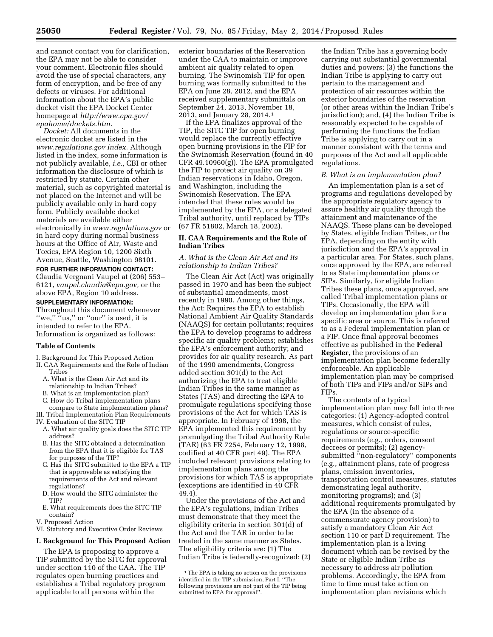and cannot contact you for clarification, the EPA may not be able to consider your comment. Electronic files should avoid the use of special characters, any form of encryption, and be free of any defects or viruses. For additional information about the EPA's public docket visit the EPA Docket Center homepage at *[http://www.epa.gov/](http://www.epa.gov/epahome/dockets.htm) [epahome/dockets.htm.](http://www.epa.gov/epahome/dockets.htm)* 

*Docket:* All documents in the electronic docket are listed in the *[www.regulations.gov](http://www.regulations.gov) index.* Although listed in the index, some information is not publicly available, *i.e.,* CBI or other information the disclosure of which is restricted by statute. Certain other material, such as copyrighted material is not placed on the Internet and will be publicly available only in hard copy form. Publicly available docket materials are available either electronically in *[www.regulations.gov](http://www.regulations.gov)* or in hard copy during normal business hours at the Office of Air, Waste and Toxics, EPA Region 10, 1200 Sixth Avenue, Seattle, Washington 98101.

# **FOR FURTHER INFORMATION CONTACT:**

Claudia Vergnani Vaupel at (206) 553– 6121, *[vaupel.claudia@epa.gov,](mailto:vaupel.claudia@epa.gov)* or the above EPA, Region 10 address.

## **SUPPLEMENTARY INFORMATION:**

Throughout this document whenever "we," "us," or "our" is used, it is intended to refer to the EPA. Information is organized as follows:

## **Table of Contents**

- I. Background for This Proposed Action
- II. CAA Requirements and the Role of Indian Tribes
	- A. What is the Clean Air Act and its relationship to Indian Tribes?
	- B. What is an implementation plan?
- C. How do Tribal implementation plans
- compare to State implementation plans? III. Tribal Implementation Plan Requirements
- IV. Evaluation of the SITC TIP
	- A. What air quality goals does the SITC TIP address?
	- B. Has the SITC obtained a determination from the EPA that it is eligible for TAS for purposes of the TIP?
	- C. Has the SITC submitted to the EPA a TIP that is approvable as satisfying the requirements of the Act and relevant regulations?
	- D. How would the SITC administer the TIP?
	- E. What requirements does the SITC TIP contain?
- V. Proposed Action

# VI. Statutory and Executive Order Reviews

# **I. Background for This Proposed Action**

The EPA is proposing to approve a TIP submitted by the SITC for approval under section 110 of the CAA. The TIP regulates open burning practices and establishes a Tribal regulatory program applicable to all persons within the

exterior boundaries of the Reservation under the CAA to maintain or improve ambient air quality related to open burning. The Swinomish TIP for open burning was formally submitted to the EPA on June 28, 2012, and the EPA received supplementary submittals on September 24, 2013, November 18, 2013, and January 28, 2014.1

If the EPA finalizes approval of the TIP, the SITC TIP for open burning would replace the currently effective open burning provisions in the FIP for the Swinomish Reservation (found in 40 CFR 49.10960(g)). The EPA promulgated the FIP to protect air quality on 39 Indian reservations in Idaho, Oregon, and Washington, including the Swinomish Reservation. The EPA intended that these rules would be implemented by the EPA, or a delegated Tribal authority, until replaced by TIPs (67 FR 51802, March 18, 2002).

## **II. CAA Requirements and the Role of Indian Tribes**

## *A. What is the Clean Air Act and its relationship to Indian Tribes?*

The Clean Air Act (Act) was originally passed in 1970 and has been the subject of substantial amendments, most recently in 1990. Among other things, the Act: Requires the EPA to establish National Ambient Air Quality Standards (NAAQS) for certain pollutants; requires the EPA to develop programs to address specific air quality problems; establishes the EPA's enforcement authority; and provides for air quality research. As part of the 1990 amendments, Congress added section 301(d) to the Act authorizing the EPA to treat eligible Indian Tribes in the same manner as States (TAS) and directing the EPA to promulgate regulations specifying those provisions of the Act for which TAS is appropriate. In February of 1998, the EPA implemented this requirement by promulgating the Tribal Authority Rule (TAR) (63 FR 7254, February 12, 1998, codified at 40 CFR part 49). The EPA included relevant provisions relating to implementation plans among the provisions for which TAS is appropriate (exceptions are identified in 40 CFR 49.4).

Under the provisions of the Act and the EPA's regulations, Indian Tribes must demonstrate that they meet the eligibility criteria in section 301(d) of the Act and the TAR in order to be treated in the same manner as States. The eligibility criteria are: (1) The Indian Tribe is federally-recognized; (2)

the Indian Tribe has a governing body carrying out substantial governmental duties and powers; (3) the functions the Indian Tribe is applying to carry out pertain to the management and protection of air resources within the exterior boundaries of the reservation (or other areas within the Indian Tribe's jurisdiction); and, (4) the Indian Tribe is reasonably expected to be capable of performing the functions the Indian Tribe is applying to carry out in a manner consistent with the terms and purposes of the Act and all applicable regulations.

## *B. What is an implementation plan?*

An implementation plan is a set of programs and regulations developed by the appropriate regulatory agency to assure healthy air quality through the attainment and maintenance of the NAAQS. These plans can be developed by States, eligible Indian Tribes, or the EPA, depending on the entity with jurisdiction and the EPA's approval in a particular area. For States, such plans, once approved by the EPA, are referred to as State implementation plans or SIPs. Similarly, for eligible Indian Tribes these plans, once approved, are called Tribal implementation plans or TIPs. Occasionally, the EPA will develop an implementation plan for a specific area or source. This is referred to as a Federal implementation plan or a FIP. Once final approval becomes effective as published in the **Federal Register**, the provisions of an implementation plan become federally enforceable. An applicable implementation plan may be comprised of both TIPs and FIPs and/or SIPs and FIPs.

The contents of a typical implementation plan may fall into three categories: (1) Agency-adopted control measures, which consist of rules, regulations or source-specific requirements (e.g., orders, consent decrees or permits); (2) agencysubmitted ''non-regulatory'' components (e.g., attainment plans, rate of progress plans, emission inventories, transportation control measures, statutes demonstrating legal authority, monitoring programs); and (3) additional requirements promulgated by the EPA (in the absence of a commensurate agency provision) to satisfy a mandatory Clean Air Act section 110 or part D requirement. The implementation plan is a living document which can be revised by the State or eligible Indian Tribe as necessary to address air pollution problems. Accordingly, the EPA from time to time must take action on implementation plan revisions which

<sup>1</sup>The EPA is taking no action on the provisions identified in the TIP submission, Part I, ''The following provisions are not part of the TIP being submitted to EPA for approval".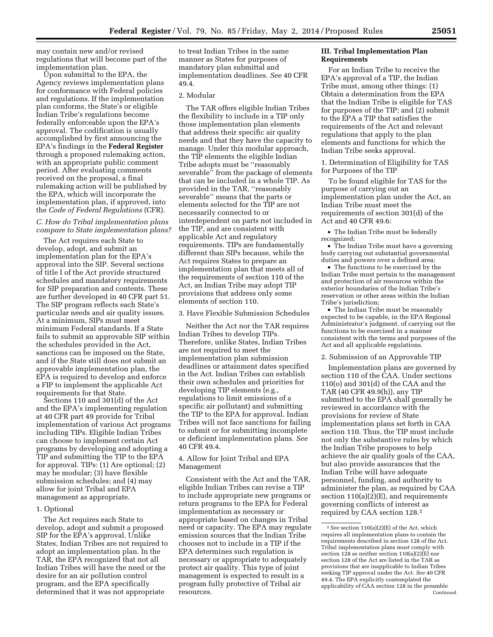may contain new and/or revised regulations that will become part of the implementation plan.

Upon submittal to the EPA, the Agency reviews implementation plans for conformance with Federal policies and regulations. If the implementation plan conforms, the State's or eligible Indian Tribe's regulations become federally enforceable upon the EPA's approval. The codification is usually accomplished by first announcing the EPA's findings in the **Federal Register**  through a proposed rulemaking action, with an appropriate public comment period. After evaluating comments received on the proposal, a final rulemaking action will be published by the EPA, which will incorporate the implementation plan, if approved, into the *Code of Federal Regulations* (CFR).

## *C. How do Tribal implementation plans compare to State implementation plans?*

The Act requires each State to develop, adopt, and submit an implementation plan for the EPA's approval into the SIP. Several sections of title I of the Act provide structured schedules and mandatory requirements for SIP preparation and contents. These are further developed in 40 CFR part 51. The SIP program reflects each State's particular needs and air quality issues. At a minimum, SIPs must meet minimum Federal standards. If a State fails to submit an approvable SIP within the schedules provided in the Act, sanctions can be imposed on the State, and if the State still does not submit an approvable implementation plan, the EPA is required to develop and enforce a FIP to implement the applicable Act requirements for that State.

Sections 110 and 301(d) of the Act and the EPA's implementing regulation at 40 CFR part 49 provide for Tribal implementation of various Act programs including TIPs. Eligible Indian Tribes can choose to implement certain Act programs by developing and adopting a TIP and submitting the TIP to the EPA for approval. TIPs: (1) Are optional; (2) may be modular; (3) have flexible submission schedules; and (4) may allow for joint Tribal and EPA management as appropriate.

## 1. Optional

The Act requires each State to develop, adopt and submit a proposed SIP for the EPA's approval. Unlike States, Indian Tribes are not required to adopt an implementation plan. In the TAR, the EPA recognized that not all Indian Tribes will have the need or the desire for an air pollution control program, and the EPA specifically determined that it was not appropriate

to treat Indian Tribes in the same manner as States for purposes of mandatory plan submittal and implementation deadlines. *See* 40 CFR 49.4.

#### 2. Modular

The TAR offers eligible Indian Tribes the flexibility to include in a TIP only those implementation plan elements that address their specific air quality needs and that they have the capacity to manage. Under this modular approach, the TIP elements the eligible Indian Tribe adopts must be ''reasonably severable<sup>5</sup> from the package of elements that can be included in a whole TIP. As provided in the TAR, ''reasonably severable'' means that the parts or elements selected for the TIP are not necessarily connected to or interdependent on parts not included in the TIP, and are consistent with applicable Act and regulatory requirements. TIPs are fundamentally different than SIPs because, while the Act requires States to prepare an implementation plan that meets all of the requirements of section 110 of the Act, an Indian Tribe may adopt TIP provisions that address only some elements of section 110.

3. Have Flexible Submission Schedules

Neither the Act nor the TAR requires Indian Tribes to develop TIPs. Therefore, unlike States, Indian Tribes are not required to meet the implementation plan submission deadlines or attainment dates specified in the Act. Indian Tribes can establish their own schedules and priorities for developing TIP elements (e.g., regulations to limit emissions of a specific air pollutant) and submitting the TIP to the EPA for approval. Indian Tribes will not face sanctions for failing to submit or for submitting incomplete or deficient implementation plans. *See*  40 CFR 49.4.

## 4. Allow for Joint Tribal and EPA Management

Consistent with the Act and the TAR, eligible Indian Tribes can revise a TIP to include appropriate new programs or return programs to the EPA for Federal implementation as necessary or appropriate based on changes in Tribal need or capacity. The EPA may regulate emission sources that the Indian Tribe chooses not to include in a TIP if the EPA determines such regulation is necessary or appropriate to adequately protect air quality. This type of joint management is expected to result in a program fully protective of Tribal air resources.

## **III. Tribal Implementation Plan Requirements**

For an Indian Tribe to receive the EPA's approval of a TIP, the Indian Tribe must, among other things: (1) Obtain a determination from the EPA that the Indian Tribe is eligible for TAS for purposes of the TIP; and (2) submit to the EPA a TIP that satisfies the requirements of the Act and relevant regulations that apply to the plan elements and functions for which the Indian Tribe seeks approval.

1. Determination of Eligibility for TAS for Purposes of the TIP

To be found eligible for TAS for the purpose of carrying out an implementation plan under the Act, an Indian Tribe must meet the requirements of section 301(d) of the Act and 40 CFR 49.6:

• The Indian Tribe must be federally recognized;

• The Indian Tribe must have a governing body carrying out substantial governmental duties and powers over a defined area;

• The functions to be exercised by the Indian Tribe must pertain to the management and protection of air resources within the exterior boundaries of the Indian Tribe's reservation or other areas within the Indian Tribe's jurisdiction;

• The Indian Tribe must be reasonably expected to be capable, in the EPA Regional Administrator's judgment, of carrying out the functions to be exercised in a manner consistent with the terms and purposes of the Act and all applicable regulations.

## 2. Submission of an Approvable TIP

Implementation plans are governed by section 110 of the CAA. Under sections 110(o) and 301(d) of the CAA and the TAR (40 CFR 49.9(h)), any TIP submitted to the EPA shall generally be reviewed in accordance with the provisions for review of State implementation plans set forth in CAA section 110. Thus, the TIP must include not only the substantive rules by which the Indian Tribe proposes to help achieve the air quality goals of the CAA, but also provide assurances that the Indian Tribe will have adequate personnel, funding, and authority to administer the plan, as required by CAA section  $110(a)(2)(E)$ , and requirements governing conflicts of interest as required by CAA section 128.2

<sup>2</sup>*See* section 110(a)(2)(E) of the Act, which requires all implementation plans to contain the requirements described in section 128 of the Act. Tribal implementation plans must comply with section  $128$  as neither section  $110(a)(2)\hat{E}$  nor section 128 of the Act are listed in the TAR as provisions that are inapplicable to Indian Tribes seeking TIP approval under the Act. *See* 40 CFR 49.4. The EPA explicitly contemplated the applicability of CAA section 128 in the preamble Continued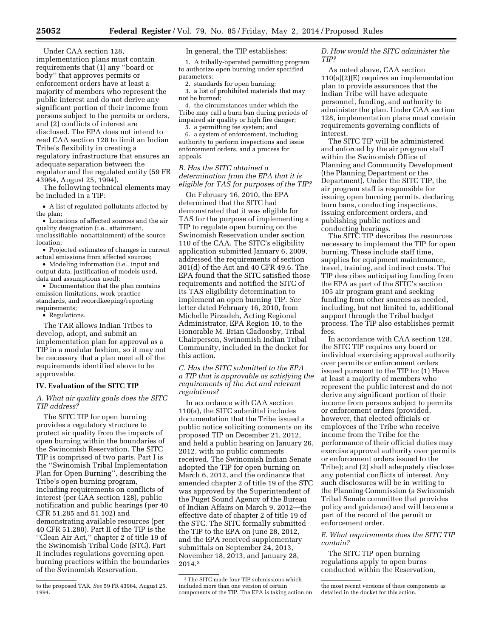Under CAA section 128, implementation plans must contain requirements that (1) any ''board or body'' that approves permits or enforcement orders have at least a majority of members who represent the public interest and do not derive any significant portion of their income from persons subject to the permits or orders, and (2) conflicts of interest are disclosed. The EPA does not intend to read CAA section 128 to limit an Indian Tribe's flexibility in creating a regulatory infrastructure that ensures an adequate separation between the regulator and the regulated entity (59 FR 43964, August 25, 1994).

The following technical elements may be included in a TIP:

• A list of regulated pollutants affected by the plan;

• Locations of affected sources and the air quality designation (i.e., attainment, unclassifiable, nonattainment) of the source location;

• Projected estimates of changes in current actual emissions from affected sources;

• Modeling information (i.e., input and output data, justification of models used, data and assumptions used);

• Documentation that the plan contains emission limitations, work practice standards, and recordkeeping/reporting requirements;

• Regulations.

The TAR allows Indian Tribes to develop, adopt, and submit an implementation plan for approval as a TIP in a modular fashion, so it may not be necessary that a plan meet all of the requirements identified above to be approvable.

## **IV. Evaluation of the SITC TIP**

*A. What air quality goals does the SITC TIP address?* 

The SITC TIP for open burning provides a regulatory structure to protect air quality from the impacts of open burning within the boundaries of the Swinomish Reservation. The SITC TIP is comprised of two parts. Part I is the ''Swinomish Tribal Implementation Plan for Open Burning'', describing the Tribe's open burning program, including requirements on conflicts of interest (per CAA section 128), public notification and public hearings (per 40 CFR 51.285 and 51.102) and demonstrating available resources (per 40 CFR 51.280). Part II of the TIP is the ''Clean Air Act,'' chapter 2 of title 19 of the Swinomish Tribal Code (STC). Part II includes regulations governing open burning practices within the boundaries of the Swinomish Reservation.

In general, the TIP establishes:

1. A tribally-operated permitting program to authorize open burning under specified parameters;

2. standards for open burning;

3. a list of prohibited materials that may not be burned;

4. the circumstances under which the Tribe may call a burn ban during periods of impaired air quality or high fire danger; 5. a permitting fee system; and

6. a system of enforcement, including authority to perform inspections and issue enforcement orders, and a process for appeals.

*B. Has the SITC obtained a determination from the EPA that it is eligible for TAS for purposes of the TIP?* 

On February 16, 2010, the EPA determined that the SITC had demonstrated that it was eligible for TAS for the purpose of implementing a TIP to regulate open burning on the Swinomish Reservation under section 110 of the CAA. The SITC's eligibility application submitted January 6, 2009, addressed the requirements of section 301(d) of the Act and 40 CFR 49.6. The EPA found that the SITC satisfied those requirements and notified the SITC of its TAS eligibility determination to implement an open burning TIP. *See*  letter dated February 16, 2010, from Michelle Pirzadeh, Acting Regional Administrator, EPA Region 10, to the Honorable M. Brian Cladoosby, Tribal Chairperson, Swinomish Indian Tribal Community, included in the docket for this action.

*C. Has the SITC submitted to the EPA a TIP that is approvable as satisfying the requirements of the Act and relevant regulations?* 

In accordance with CAA section 110(a), the SITC submittal includes documentation that the Tribe issued a public notice soliciting comments on its proposed TIP on December 21, 2012, and held a public hearing on January 26, 2012, with no public comments received. The Swinomish Indian Senate adopted the TIP for open burning on March 6, 2012, and the ordinance that amended chapter 2 of title 19 of the STC was approved by the Superintendent of the Puget Sound Agency of the Bureau of Indian Affairs on March 9, 2012—the effective date of chapter 2 of title 19 of the STC. The SITC formally submitted the TIP to the EPA on June 28, 2012, and the EPA received supplementary submittals on September 24, 2013, November 18, 2013, and January 28, 2014.3

## *D. How would the SITC administer the TIP?*

As noted above, CAA section 110(a)(2)(E) requires an implementation plan to provide assurances that the Indian Tribe will have adequate personnel, funding, and authority to administer the plan. Under CAA section 128, implementation plans must contain requirements governing conflicts of interest.

The SITC TIP will be administered and enforced by the air program staff within the Swinomish Office of Planning and Community Development (the Planning Department or the Department). Under the SITC TIP, the air program staff is responsible for issuing open burning permits, declaring burn bans, conducting inspections, issuing enforcement orders, and publishing public notices and conducting hearings.

The SITC TIP describes the resources necessary to implement the TIP for open burning. These include staff time, supplies for equipment maintenance, travel, training, and indirect costs. The TIP describes anticipating funding from the EPA as part of the SITC's section 105 air program grant and seeking funding from other sources as needed, including, but not limited to, additional support through the Tribal budget process. The TIP also establishes permit fees.

In accordance with CAA section 128, the SITC TIP requires any board or individual exercising approval authority over permits or enforcement orders issued pursuant to the TIP to: (1) Have at least a majority of members who represent the public interest and do not derive any significant portion of their income from persons subject to permits or enforcement orders (provided, however, that elected officials or employees of the Tribe who receive income from the Tribe for the performance of their official duties may exercise approval authority over permits or enforcement orders issued to the Tribe); and (2) shall adequately disclose any potential conflicts of interest. Any such disclosures will be in writing to the Planning Commission (a Swinomish Tribal Senate committee that provides policy and guidance) and will become a part of the record of the permit or enforcement order.

*E. What requirements does the SITC TIP contain?* 

The SITC TIP open burning regulations apply to open burns conducted within the Reservation,

to the proposed TAR. *See* 59 FR 43964, August 25, 1994.

<sup>3</sup>The SITC made four TIP submissions which included more than one version of certain components of the TIP. The EPA is taking action on

the most recent versions of these components as detailed in the docket for this action.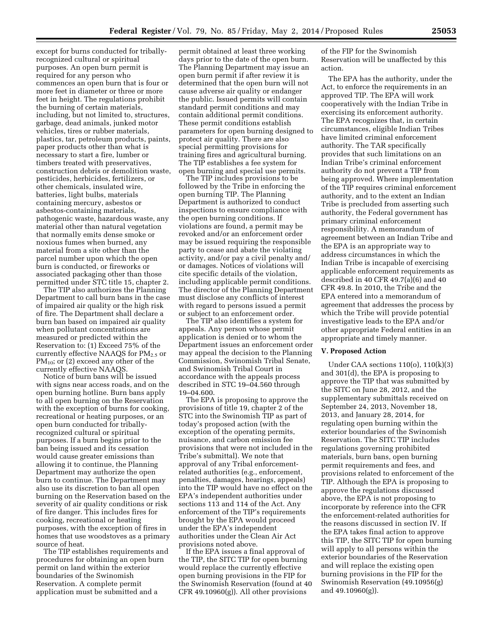except for burns conducted for triballyrecognized cultural or spiritual purposes. An open burn permit is required for any person who commences an open burn that is four or more feet in diameter or three or more feet in height. The regulations prohibit the burning of certain materials, including, but not limited to, structures, garbage, dead animals, junked motor vehicles, tires or rubber materials, plastics, tar, petroleum products, paints, paper products other than what is necessary to start a fire, lumber or timbers treated with preservatives, construction debris or demolition waste, pesticides, herbicides, fertilizers, or other chemicals, insulated wire, batteries, light bulbs, materials containing mercury, asbestos or asbestos-containing materials, pathogenic waste, hazardous waste, any material other than natural vegetation that normally emits dense smoke or noxious fumes when burned, any material from a site other than the parcel number upon which the open burn is conducted, or fireworks or associated packaging other than those permitted under STC title 15, chapter 2.

The TIP also authorizes the Planning Department to call burn bans in the case of impaired air quality or the high risk of fire. The Department shall declare a burn ban based on impaired air quality when pollutant concentrations are measured or predicted within the Reservation to: (1) Exceed 75% of the currently effective NAAQS for  $PM_{2.5}$  or  $PM_{10}$ ; or (2) exceed any other of the currently effective NAAQS.

Notice of burn bans will be issued with signs near access roads, and on the open burning hotline. Burn bans apply to all open burning on the Reservation with the exception of burns for cooking, recreational or heating purposes, or an open burn conducted for triballyrecognized cultural or spiritual purposes. If a burn begins prior to the ban being issued and its cessation would cause greater emissions than allowing it to continue, the Planning Department may authorize the open burn to continue. The Department may also use its discretion to ban all open burning on the Reservation based on the severity of air quality conditions or risk of fire danger. This includes fires for cooking, recreational or heating purposes, with the exception of fires in homes that use woodstoves as a primary source of heat.

The TIP establishes requirements and procedures for obtaining an open burn permit on land within the exterior boundaries of the Swinomish Reservation. A complete permit application must be submitted and a

permit obtained at least three working days prior to the date of the open burn. The Planning Department may issue an open burn permit if after review it is determined that the open burn will not cause adverse air quality or endanger the public. Issued permits will contain standard permit conditions and may contain additional permit conditions. These permit conditions establish parameters for open burning designed to protect air quality. There are also special permitting provisions for training fires and agricultural burning. The TIP establishes a fee system for open burning and special use permits.

The TIP includes provisions to be followed by the Tribe in enforcing the open burning TIP. The Planning Department is authorized to conduct inspections to ensure compliance with the open burning conditions. If violations are found, a permit may be revoked and/or an enforcement order may be issued requiring the responsible party to cease and abate the violating activity, and/or pay a civil penalty and/ or damages. Notices of violations will cite specific details of the violation, including applicable permit conditions. The director of the Planning Department must disclose any conflicts of interest with regard to persons issued a permit or subject to an enforcement order.

The TIP also identifies a system for appeals. Any person whose permit application is denied or to whom the Department issues an enforcement order may appeal the decision to the Planning Commission, Swinomish Tribal Senate, and Swinomish Tribal Court in accordance with the appeals process described in STC 19–04.560 through 19–04.600.

The EPA is proposing to approve the provisions of title 19, chapter 2 of the STC into the Swinomish TIP as part of today's proposed action (with the exception of the operating permits, nuisance, and carbon emission fee provisions that were not included in the Tribe's submittal). We note that approval of any Tribal enforcementrelated authorities (e.g., enforcement, penalties, damages, hearings, appeals) into the TIP would have no effect on the EPA's independent authorities under sections 113 and 114 of the Act. Any enforcement of the TIP's requirements brought by the EPA would proceed under the EPA's independent authorities under the Clean Air Act provisions noted above.

If the EPA issues a final approval of the TIP, the SITC TIP for open burning would replace the currently effective open burning provisions in the FIP for the Swinomish Reservation (found at 40 CFR 49.10960(g)). All other provisions

of the FIP for the Swinomish Reservation will be unaffected by this action.

The EPA has the authority, under the Act, to enforce the requirements in an approved TIP. The EPA will work cooperatively with the Indian Tribe in exercising its enforcement authority. The EPA recognizes that, in certain circumstances, eligible Indian Tribes have limited criminal enforcement authority. The TAR specifically provides that such limitations on an Indian Tribe's criminal enforcement authority do not prevent a TIP from being approved. Where implementation of the TIP requires criminal enforcement authority, and to the extent an Indian Tribe is precluded from asserting such authority, the Federal government has primary criminal enforcement responsibility. A memorandum of agreement between an Indian Tribe and the EPA is an appropriate way to address circumstances in which the Indian Tribe is incapable of exercising applicable enforcement requirements as described in 40 CFR 49.7(a)(6) and 40 CFR 49.8. In 2010, the Tribe and the EPA entered into a memorandum of agreement that addresses the process by which the Tribe will provide potential investigative leads to the EPA and/or other appropriate Federal entities in an appropriate and timely manner.

#### **V. Proposed Action**

Under CAA sections 110(o), 110(k)(3) and 301(d), the EPA is proposing to approve the TIP that was submitted by the SITC on June 28, 2012, and the supplementary submittals received on September 24, 2013, November 18, 2013, and January 28, 2014, for regulating open burning within the exterior boundaries of the Swinomish Reservation. The SITC TIP includes regulations governing prohibited materials, burn bans, open burning permit requirements and fees, and provisions related to enforcement of the TIP. Although the EPA is proposing to approve the regulations discussed above, the EPA is not proposing to incorporate by reference into the CFR the enforcement-related authorities for the reasons discussed in section IV. If the EPA takes final action to approve this TIP, the SITC TIP for open burning will apply to all persons within the exterior boundaries of the Reservation and will replace the existing open burning provisions in the FIP for the Swinomish Reservation (49.10956(g) and 49.10960(g)).